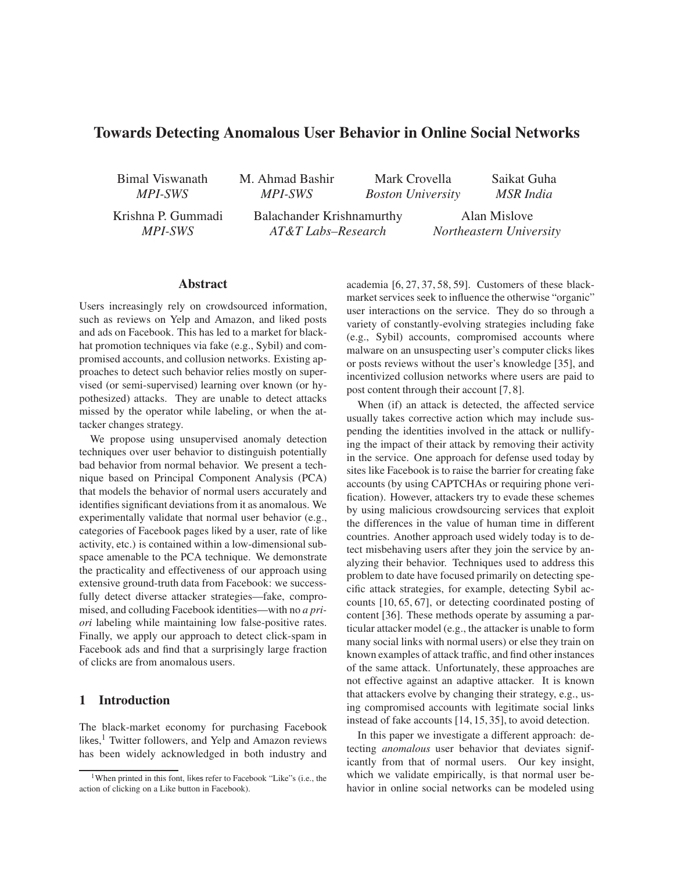# Towards Detecting Anomalous User Behavior in Online Social Networks

Bimal Viswanath *MPI-SWS*

M. Ahmad Bashir *MPI-SWS*

Mark Crovella *Boston University* Saikat Guha *MSR India*

Krishna P. Gummadi *MPI-SWS*

Balachander Krishnamurthy *AT&T Labs–Research*

Alan Mislove *Northeastern University*

# Abstract

Users increasingly rely on crowdsourced information, such as reviews on Yelp and Amazon, and liked posts and ads on Facebook. This has led to a market for blackhat promotion techniques via fake (e.g., Sybil) and compromised accounts, and collusion networks. Existing approaches to detect such behavior relies mostly on supervised (or semi-supervised) learning over known (or hypothesized) attacks. They are unable to detect attacks missed by the operator while labeling, or when the attacker changes strategy.

We propose using unsupervised anomaly detection techniques over user behavior to distinguish potentially bad behavior from normal behavior. We present a technique based on Principal Component Analysis (PCA) that models the behavior of normal users accurately and identifies significant deviations from it as anomalous. We experimentally validate that normal user behavior (e.g., categories of Facebook pages liked by a user, rate of like activity, etc.) is contained within a low-dimensional subspace amenable to the PCA technique. We demonstrate the practicality and effectiveness of our approach using extensive ground-truth data from Facebook: we successfully detect diverse attacker strategies—fake, compromised, and colluding Facebook identities—with no *a priori* labeling while maintaining low false-positive rates. Finally, we apply our approach to detect click-spam in Facebook ads and find that a surprisingly large fraction of clicks are from anomalous users.

# 1 Introduction

The black-market economy for purchasing Facebook likes, <sup>1</sup> Twitter followers, and Yelp and Amazon reviews has been widely acknowledged in both industry and academia [6, 27, 37, 58, 59]. Customers of these blackmarket services seek to influence the otherwise "organic" user interactions on the service. They do so through a variety of constantly-evolving strategies including fake (e.g., Sybil) accounts, compromised accounts where malware on an unsuspecting user's computer clicks likes or posts reviews without the user's knowledge [35], and incentivized collusion networks where users are paid to post content through their account [7, 8].

When (if) an attack is detected, the affected service usually takes corrective action which may include suspending the identities involved in the attack or nullifying the impact of their attack by removing their activity in the service. One approach for defense used today by sites like Facebook is to raise the barrier for creating fake accounts (by using CAPTCHAs or requiring phone verification). However, attackers try to evade these schemes by using malicious crowdsourcing services that exploit the differences in the value of human time in different countries. Another approach used widely today is to detect misbehaving users after they join the service by analyzing their behavior. Techniques used to address this problem to date have focused primarily on detecting specific attack strategies, for example, detecting Sybil accounts [10, 65, 67], or detecting coordinated posting of content [36]. These methods operate by assuming a particular attacker model (e.g., the attacker is unable to form many social links with normal users) or else they train on known examples of attack traffic, and find other instances of the same attack. Unfortunately, these approaches are not effective against an adaptive attacker. It is known that attackers evolve by changing their strategy, e.g., using compromised accounts with legitimate social links instead of fake accounts [14, 15, 35], to avoid detection.

In this paper we investigate a different approach: detecting *anomalous* user behavior that deviates significantly from that of normal users. Our key insight, which we validate empirically, is that normal user behavior in online social networks can be modeled using

<sup>1</sup>When printed in this font, likes refer to Facebook "Like"s (i.e., the action of clicking on a Like button in Facebook).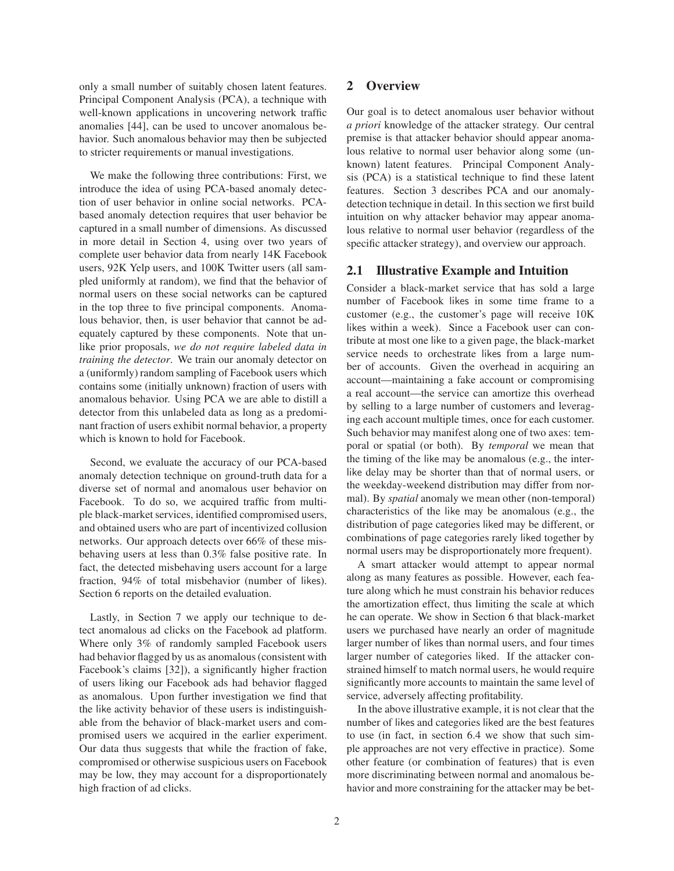only a small number of suitably chosen latent features. Principal Component Analysis (PCA), a technique with well-known applications in uncovering network traffic anomalies [44], can be used to uncover anomalous behavior. Such anomalous behavior may then be subjected to stricter requirements or manual investigations.

We make the following three contributions: First, we introduce the idea of using PCA-based anomaly detection of user behavior in online social networks. PCAbased anomaly detection requires that user behavior be captured in a small number of dimensions. As discussed in more detail in Section 4, using over two years of complete user behavior data from nearly 14K Facebook users, 92K Yelp users, and 100K Twitter users (all sampled uniformly at random), we find that the behavior of normal users on these social networks can be captured in the top three to five principal components. Anomalous behavior, then, is user behavior that cannot be adequately captured by these components. Note that unlike prior proposals, *we do not require labeled data in training the detector*. We train our anomaly detector on a (uniformly) random sampling of Facebook users which contains some (initially unknown) fraction of users with anomalous behavior. Using PCA we are able to distill a detector from this unlabeled data as long as a predominant fraction of users exhibit normal behavior, a property which is known to hold for Facebook.

Second, we evaluate the accuracy of our PCA-based anomaly detection technique on ground-truth data for a diverse set of normal and anomalous user behavior on Facebook. To do so, we acquired traffic from multiple black-market services, identified compromised users, and obtained users who are part of incentivized collusion networks. Our approach detects over 66% of these misbehaving users at less than 0.3% false positive rate. In fact, the detected misbehaving users account for a large fraction, 94% of total misbehavior (number of likes). Section 6 reports on the detailed evaluation.

Lastly, in Section 7 we apply our technique to detect anomalous ad clicks on the Facebook ad platform. Where only 3% of randomly sampled Facebook users had behavior flagged by us as anomalous (consistent with Facebook's claims [32]), a significantly higher fraction of users liking our Facebook ads had behavior flagged as anomalous. Upon further investigation we find that the like activity behavior of these users is indistinguishable from the behavior of black-market users and compromised users we acquired in the earlier experiment. Our data thus suggests that while the fraction of fake, compromised or otherwise suspicious users on Facebook may be low, they may account for a disproportionately high fraction of ad clicks.

# 2 Overview

Our goal is to detect anomalous user behavior without *a priori* knowledge of the attacker strategy. Our central premise is that attacker behavior should appear anomalous relative to normal user behavior along some (unknown) latent features. Principal Component Analysis (PCA) is a statistical technique to find these latent features. Section 3 describes PCA and our anomalydetection technique in detail. In this section we first build intuition on why attacker behavior may appear anomalous relative to normal user behavior (regardless of the specific attacker strategy), and overview our approach.

### 2.1 Illustrative Example and Intuition

Consider a black-market service that has sold a large number of Facebook likes in some time frame to a customer (e.g., the customer's page will receive 10K likes within a week). Since a Facebook user can contribute at most one like to a given page, the black-market service needs to orchestrate likes from a large number of accounts. Given the overhead in acquiring an account—maintaining a fake account or compromising a real account—the service can amortize this overhead by selling to a large number of customers and leveraging each account multiple times, once for each customer. Such behavior may manifest along one of two axes: temporal or spatial (or both). By *temporal* we mean that the timing of the like may be anomalous (e.g., the interlike delay may be shorter than that of normal users, or the weekday-weekend distribution may differ from normal). By *spatial* anomaly we mean other (non-temporal) characteristics of the like may be anomalous (e.g., the distribution of page categories liked may be different, or combinations of page categories rarely liked together by normal users may be disproportionately more frequent).

A smart attacker would attempt to appear normal along as many features as possible. However, each feature along which he must constrain his behavior reduces the amortization effect, thus limiting the scale at which he can operate. We show in Section 6 that black-market users we purchased have nearly an order of magnitude larger number of likes than normal users, and four times larger number of categories liked. If the attacker constrained himself to match normal users, he would require significantly more accounts to maintain the same level of service, adversely affecting profitability.

In the above illustrative example, it is not clear that the number of likes and categories liked are the best features to use (in fact, in section 6.4 we show that such simple approaches are not very effective in practice). Some other feature (or combination of features) that is even more discriminating between normal and anomalous behavior and more constraining for the attacker may be bet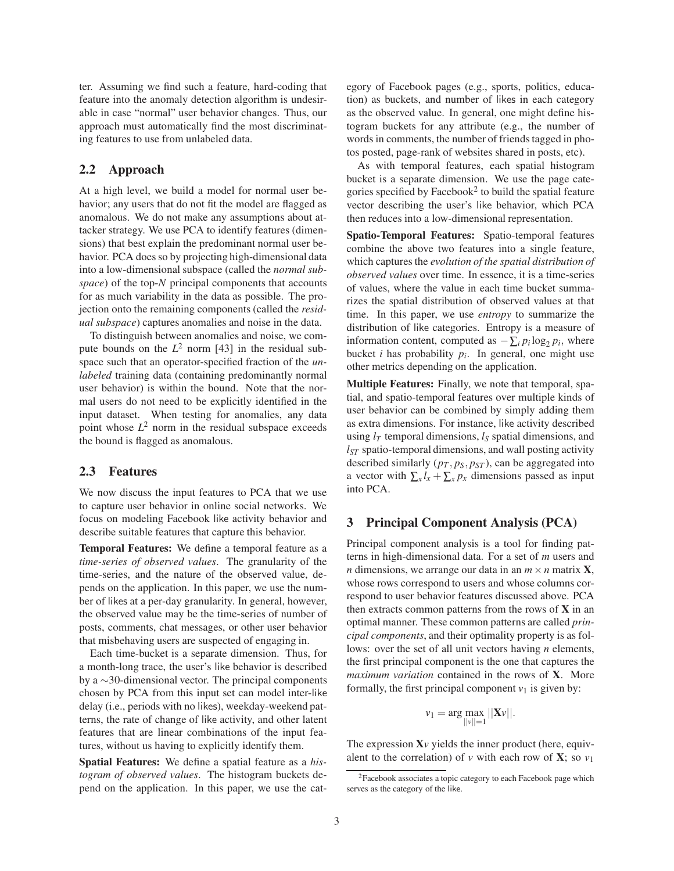ter. Assuming we find such a feature, hard-coding that feature into the anomaly detection algorithm is undesirable in case "normal" user behavior changes. Thus, our approach must automatically find the most discriminating features to use from unlabeled data.

# 2.2 Approach

At a high level, we build a model for normal user behavior; any users that do not fit the model are flagged as anomalous. We do not make any assumptions about attacker strategy. We use PCA to identify features (dimensions) that best explain the predominant normal user behavior. PCA does so by projecting high-dimensional data into a low-dimensional subspace (called the *normal subspace*) of the top-*N* principal components that accounts for as much variability in the data as possible. The projection onto the remaining components (called the *residual subspace*) captures anomalies and noise in the data.

To distinguish between anomalies and noise, we compute bounds on the  $L^2$  norm [43] in the residual subspace such that an operator-specified fraction of the *unlabeled* training data (containing predominantly normal user behavior) is within the bound. Note that the normal users do not need to be explicitly identified in the input dataset. When testing for anomalies, any data point whose  $L^2$  norm in the residual subspace exceeds the bound is flagged as anomalous.

# 2.3 Features

We now discuss the input features to PCA that we use to capture user behavior in online social networks. We focus on modeling Facebook like activity behavior and describe suitable features that capture this behavior.

Temporal Features: We define a temporal feature as a *time-series of observed values*. The granularity of the time-series, and the nature of the observed value, depends on the application. In this paper, we use the number of likes at a per-day granularity. In general, however, the observed value may be the time-series of number of posts, comments, chat messages, or other user behavior that misbehaving users are suspected of engaging in.

Each time-bucket is a separate dimension. Thus, for a month-long trace, the user's like behavior is described by a ∼30-dimensional vector. The principal components chosen by PCA from this input set can model inter-like delay (i.e., periods with no likes), weekday-weekend patterns, the rate of change of like activity, and other latent features that are linear combinations of the input features, without us having to explicitly identify them.

Spatial Features: We define a spatial feature as a *histogram of observed values*. The histogram buckets depend on the application. In this paper, we use the category of Facebook pages (e.g., sports, politics, education) as buckets, and number of likes in each category as the observed value. In general, one might define histogram buckets for any attribute (e.g., the number of words in comments, the number of friends tagged in photos posted, page-rank of websites shared in posts, etc).

As with temporal features, each spatial histogram bucket is a separate dimension. We use the page categories specified by Facebook<sup>2</sup> to build the spatial feature vector describing the user's like behavior, which PCA then reduces into a low-dimensional representation.

Spatio-Temporal Features: Spatio-temporal features combine the above two features into a single feature, which captures the *evolution of the spatial distribution of observed values* over time. In essence, it is a time-series of values, where the value in each time bucket summarizes the spatial distribution of observed values at that time. In this paper, we use *entropy* to summarize the distribution of like categories. Entropy is a measure of information content, computed as  $-\sum_i p_i \log_2 p_i$ , where bucket *i* has probability *p<sup>i</sup>* . In general, one might use other metrics depending on the application.

Multiple Features: Finally, we note that temporal, spatial, and spatio-temporal features over multiple kinds of user behavior can be combined by simply adding them as extra dimensions. For instance, like activity described using  $l_T$  temporal dimensions,  $l_S$  spatial dimensions, and *lST* spatio-temporal dimensions, and wall posting activity described similarly  $(p_T, p_S, p_{ST})$ , can be aggregated into a vector with  $\sum_{x} l_x + \sum_{x} p_x$  dimensions passed as input into PCA.

#### 3 Principal Component Analysis (PCA)

Principal component analysis is a tool for finding patterns in high-dimensional data. For a set of *m* users and *n* dimensions, we arrange our data in an  $m \times n$  matrix **X**, whose rows correspond to users and whose columns correspond to user behavior features discussed above. PCA then extracts common patterns from the rows of  $X$  in an optimal manner. These common patterns are called *principal components*, and their optimality property is as follows: over the set of all unit vectors having *n* elements, the first principal component is the one that captures the *maximum variation* contained in the rows of X. More formally, the first principal component  $v_1$  is given by:

$$
v_1 = \arg \max_{||v||=1} ||\mathbf{X}v||.
$$

The expression  $X_V$  yields the inner product (here, equivalent to the correlation) of *v* with each row of **X**; so  $v_1$ 

<sup>&</sup>lt;sup>2</sup>Facebook associates a topic category to each Facebook page which serves as the category of the like.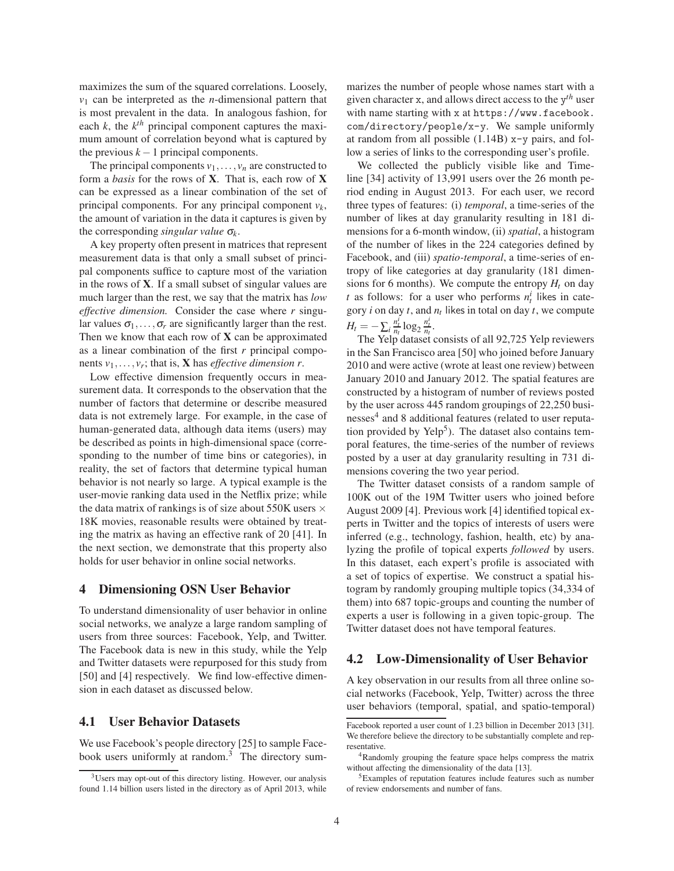maximizes the sum of the squared correlations. Loosely,  $v_1$  can be interpreted as the *n*-dimensional pattern that is most prevalent in the data. In analogous fashion, for each  $k$ , the  $k^{th}$  principal component captures the maximum amount of correlation beyond what is captured by the previous  $k-1$  principal components.

The principal components  $v_1, \ldots, v_n$  are constructed to form a *basis* for the rows of X. That is, each row of X can be expressed as a linear combination of the set of principal components. For any principal component  $v_k$ , the amount of variation in the data it captures is given by the corresponding *singular value* <sup>σ</sup>*<sup>k</sup>* .

A key property often present in matrices that represent measurement data is that only a small subset of principal components suffice to capture most of the variation in the rows of X. If a small subset of singular values are much larger than the rest, we say that the matrix has *low effective dimension.* Consider the case where *r* singular values  $\sigma_1, \ldots, \sigma_r$  are significantly larger than the rest. Then we know that each row of  $X$  can be approximated as a linear combination of the first *r* principal components  $v_1, \ldots, v_r$ ; that is, **X** has *effective dimension r*.

Low effective dimension frequently occurs in measurement data. It corresponds to the observation that the number of factors that determine or describe measured data is not extremely large. For example, in the case of human-generated data, although data items (users) may be described as points in high-dimensional space (corresponding to the number of time bins or categories), in reality, the set of factors that determine typical human behavior is not nearly so large. A typical example is the user-movie ranking data used in the Netflix prize; while the data matrix of rankings is of size about 550K users  $\times$ 18K movies, reasonable results were obtained by treating the matrix as having an effective rank of 20 [41]. In the next section, we demonstrate that this property also holds for user behavior in online social networks.

#### 4 Dimensioning OSN User Behavior

To understand dimensionality of user behavior in online social networks, we analyze a large random sampling of users from three sources: Facebook, Yelp, and Twitter. The Facebook data is new in this study, while the Yelp and Twitter datasets were repurposed for this study from [50] and [4] respectively. We find low-effective dimension in each dataset as discussed below.

#### 4.1 User Behavior Datasets

We use Facebook's people directory [25] to sample Facebook users uniformly at random.<sup>3</sup> The directory summarizes the number of people whose names start with a given character x, and allows direct access to the y *th* user with name starting with x at https://www.facebook. com/directory/people/x-y. We sample uniformly at random from all possible (1.14B) x-y pairs, and follow a series of links to the corresponding user's profile.

We collected the publicly visible like and Timeline [34] activity of 13,991 users over the 26 month period ending in August 2013. For each user, we record three types of features: (i) *temporal*, a time-series of the number of likes at day granularity resulting in 181 dimensions for a 6-month window, (ii) *spatial*, a histogram of the number of likes in the 224 categories defined by Facebook, and (iii) *spatio-temporal*, a time-series of entropy of like categories at day granularity (181 dimensions for 6 months). We compute the entropy  $H_t$  on day *t* as follows: for a user who performs  $n_t^i$  likes in category *i* on day *t*, and *n<sup>t</sup>* likes in total on day *t*, we compute  $H_t = -\sum_i \frac{n_t^i}{n_t} \log_2 \frac{n_t^i}{n_t}.$ 

The Yelp dataset consists of all 92,725 Yelp reviewers in the San Francisco area [50] who joined before January 2010 and were active (wrote at least one review) between January 2010 and January 2012. The spatial features are constructed by a histogram of number of reviews posted by the user across 445 random groupings of 22,250 businesses<sup>4</sup> and 8 additional features (related to user reputation provided by Yelp<sup>5</sup>). The dataset also contains temporal features, the time-series of the number of reviews posted by a user at day granularity resulting in 731 dimensions covering the two year period.

The Twitter dataset consists of a random sample of 100K out of the 19M Twitter users who joined before August 2009 [4]. Previous work [4] identified topical experts in Twitter and the topics of interests of users were inferred (e.g., technology, fashion, health, etc) by analyzing the profile of topical experts *followed* by users. In this dataset, each expert's profile is associated with a set of topics of expertise. We construct a spatial histogram by randomly grouping multiple topics (34,334 of them) into 687 topic-groups and counting the number of experts a user is following in a given topic-group. The Twitter dataset does not have temporal features.

# 4.2 Low-Dimensionality of User Behavior

A key observation in our results from all three online social networks (Facebook, Yelp, Twitter) across the three user behaviors (temporal, spatial, and spatio-temporal)

<sup>3</sup>Users may opt-out of this directory listing. However, our analysis found 1.14 billion users listed in the directory as of April 2013, while

Facebook reported a user count of 1.23 billion in December 2013 [31]. We therefore believe the directory to be substantially complete and representative.

<sup>4</sup>Randomly grouping the feature space helps compress the matrix without affecting the dimensionality of the data [13].

<sup>5</sup>Examples of reputation features include features such as number of review endorsements and number of fans.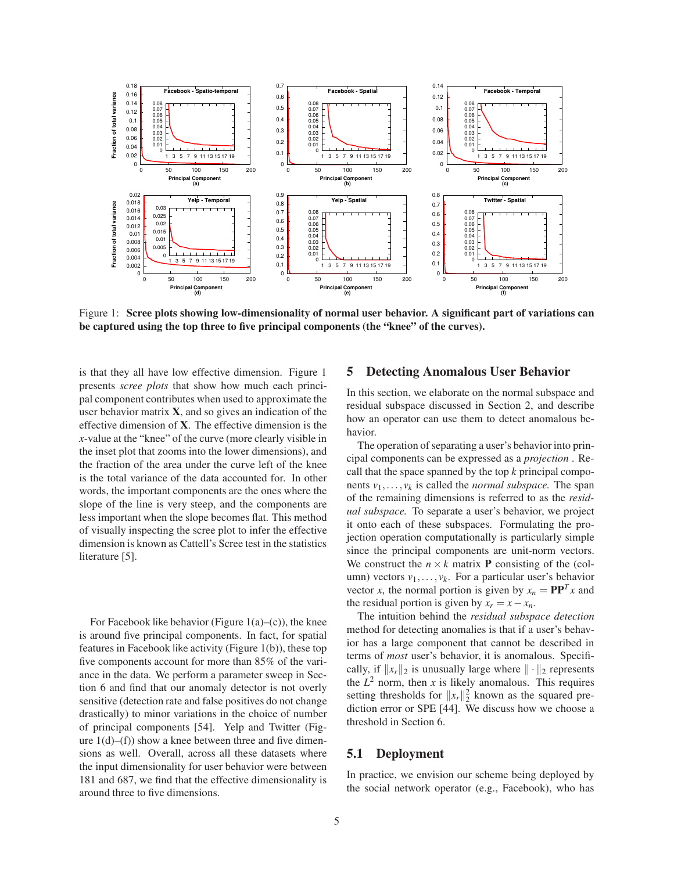

Figure 1: Scree plots showing low-dimensionality of normal user behavior. A significant part of variations can be captured using the top three to five principal components (the "knee" of the curves).

is that they all have low effective dimension. Figure 1 presents *scree plots* that show how much each principal component contributes when used to approximate the user behavior matrix  $X$ , and so gives an indication of the effective dimension of X. The effective dimension is the *x*-value at the "knee" of the curve (more clearly visible in the inset plot that zooms into the lower dimensions), and the fraction of the area under the curve left of the knee is the total variance of the data accounted for. In other words, the important components are the ones where the slope of the line is very steep, and the components are less important when the slope becomes flat. This method of visually inspecting the scree plot to infer the effective dimension is known as Cattell's Scree test in the statistics literature [5].

For Facebook like behavior (Figure  $1(a)$ –(c)), the knee is around five principal components. In fact, for spatial features in Facebook like activity (Figure 1(b)), these top five components account for more than 85% of the variance in the data. We perform a parameter sweep in Section 6 and find that our anomaly detector is not overly sensitive (detection rate and false positives do not change drastically) to minor variations in the choice of number of principal components [54]. Yelp and Twitter (Figure  $1(d)$ –(f)) show a knee between three and five dimensions as well. Overall, across all these datasets where the input dimensionality for user behavior were between 181 and 687, we find that the effective dimensionality is around three to five dimensions.

# 5 Detecting Anomalous User Behavior

In this section, we elaborate on the normal subspace and residual subspace discussed in Section 2, and describe how an operator can use them to detect anomalous behavior.

The operation of separating a user's behavior into principal components can be expressed as a *projection* . Recall that the space spanned by the top *k* principal components  $v_1, \ldots, v_k$  is called the *normal subspace*. The span of the remaining dimensions is referred to as the *residual subspace.* To separate a user's behavior, we project it onto each of these subspaces. Formulating the projection operation computationally is particularly simple since the principal components are unit-norm vectors. We construct the  $n \times k$  matrix **P** consisting of the (column) vectors  $v_1, \ldots, v_k$ . For a particular user's behavior vector *x*, the normal portion is given by  $x_n = \mathbf{P}\mathbf{P}^T x$  and the residual portion is given by  $x_r = x - x_n$ .

The intuition behind the *residual subspace detection* method for detecting anomalies is that if a user's behavior has a large component that cannot be described in terms of *most* user's behavior, it is anomalous. Specifically, if  $||x_r||_2$  is unusually large where  $|| \cdot ||_2$  represents the  $L^2$  norm, then *x* is likely anomalous. This requires setting thresholds for  $||x_r||_2^2$  known as the squared prediction error or SPE [44]. We discuss how we choose a threshold in Section 6.

#### 5.1 Deployment

In practice, we envision our scheme being deployed by the social network operator (e.g., Facebook), who has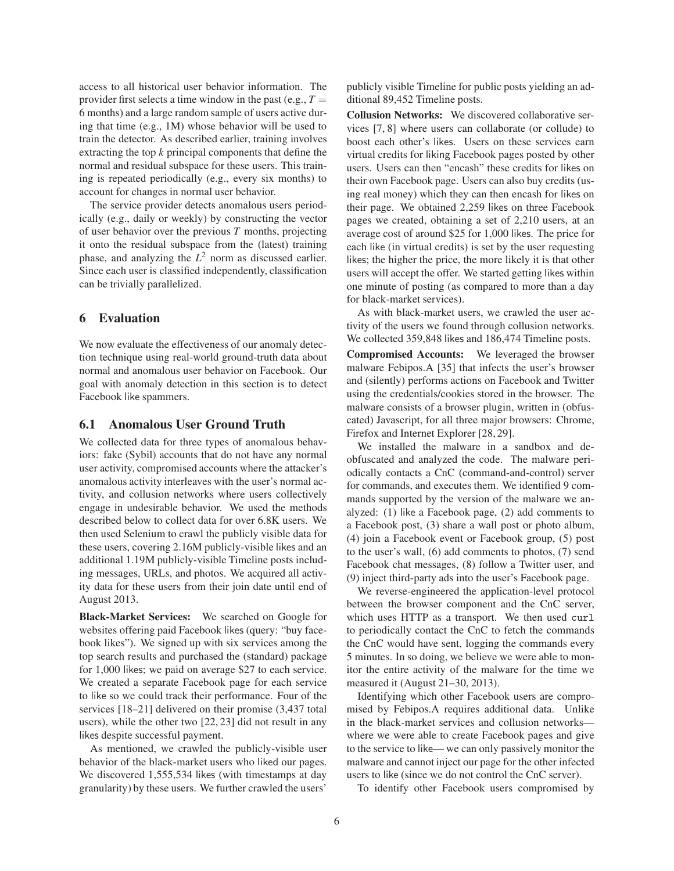access to all historical user behavior information. The provider first selects a time window in the past (e.g.,  $T =$ 6 months) and a large random sample of users active during that time (e.g., 1M) whose behavior will be used to train the detector. As described earlier, training involves extracting the top *k* principal components that define the normal and residual subspace for these users. This training is repeated periodically (e.g., every six months) to account for changes in normal user behavior.

The service provider detects anomalous users periodically (e.g., daily or weekly) by constructing the vector of user behavior over the previous *T* months, projecting it onto the residual subspace from the (latest) training phase, and analyzing the  $L^2$  norm as discussed earlier. Since each user is classified independently, classification can be trivially parallelized.

### 6 Evaluation

We now evaluate the effectiveness of our anomaly detection technique using real-world ground-truth data about normal and anomalous user behavior on Facebook. Our goal with anomaly detection in this section is to detect Facebook like spammers.

#### 6.1 Anomalous User Ground Truth

We collected data for three types of anomalous behaviors: fake (Sybil) accounts that do not have any normal user activity, compromised accounts where the attacker's anomalous activity interleaves with the user's normal activity, and collusion networks where users collectively engage in undesirable behavior. We used the methods described below to collect data for over 6.8K users. We then used Selenium to crawl the publicly visible data for these users, covering 2.16M publicly-visible likes and an additional 1.19M publicly-visible Timeline posts including messages, URLs, and photos. We acquired all activity data for these users from their join date until end of August 2013.

Black-Market Services: We searched on Google for websites offering paid Facebook likes (query: "buy facebook likes"). We signed up with six services among the top search results and purchased the (standard) package for 1,000 likes; we paid on average \$27 to each service. We created a separate Facebook page for each service to like so we could track their performance. Four of the services [18–21] delivered on their promise (3,437 total users), while the other two [22, 23] did not result in any likes despite successful payment.

As mentioned, we crawled the publicly-visible user behavior of the black-market users who liked our pages. We discovered 1,555,534 likes (with timestamps at day granularity) by these users. We further crawled the users'

publicly visible Timeline for public posts yielding an additional 89,452 Timeline posts.

Collusion Networks: We discovered collaborative services [7, 8] where users can collaborate (or collude) to boost each other's likes. Users on these services earn virtual credits for liking Facebook pages posted by other users. Users can then "encash" these credits for likes on their own Facebook page. Users can also buy credits (using real money) which they can then encash for likes on their page. We obtained 2,259 likes on three Facebook pages we created, obtaining a set of 2,210 users, at an average cost of around \$25 for 1,000 likes. The price for each like (in virtual credits) is set by the user requesting likes; the higher the price, the more likely it is that other users will accept the offer. We started getting likes within one minute of posting (as compared to more than a day for black-market services).

As with black-market users, we crawled the user activity of the users we found through collusion networks. We collected 359,848 likes and 186,474 Timeline posts.

Compromised Accounts: We leveraged the browser malware Febipos.A [35] that infects the user's browser and (silently) performs actions on Facebook and Twitter using the credentials/cookies stored in the browser. The malware consists of a browser plugin, written in (obfuscated) Javascript, for all three major browsers: Chrome, Firefox and Internet Explorer [28, 29].

We installed the malware in a sandbox and deobfuscated and analyzed the code. The malware periodically contacts a CnC (command-and-control) server for commands, and executes them. We identified 9 commands supported by the version of the malware we analyzed: (1) like a Facebook page, (2) add comments to a Facebook post, (3) share a wall post or photo album, (4) join a Facebook event or Facebook group, (5) post to the user's wall, (6) add comments to photos, (7) send Facebook chat messages, (8) follow a Twitter user, and (9) inject third-party ads into the user's Facebook page.

We reverse-engineered the application-level protocol between the browser component and the CnC server, which uses HTTP as a transport. We then used curl to periodically contact the CnC to fetch the commands the CnC would have sent, logging the commands every 5 minutes. In so doing, we believe we were able to monitor the entire activity of the malware for the time we measured it (August 21–30, 2013).

Identifying which other Facebook users are compromised by Febipos.A requires additional data. Unlike in the black-market services and collusion networks where we were able to create Facebook pages and give to the service to like— we can only passively monitor the malware and cannot inject our page for the other infected users to like (since we do not control the CnC server).

To identify other Facebook users compromised by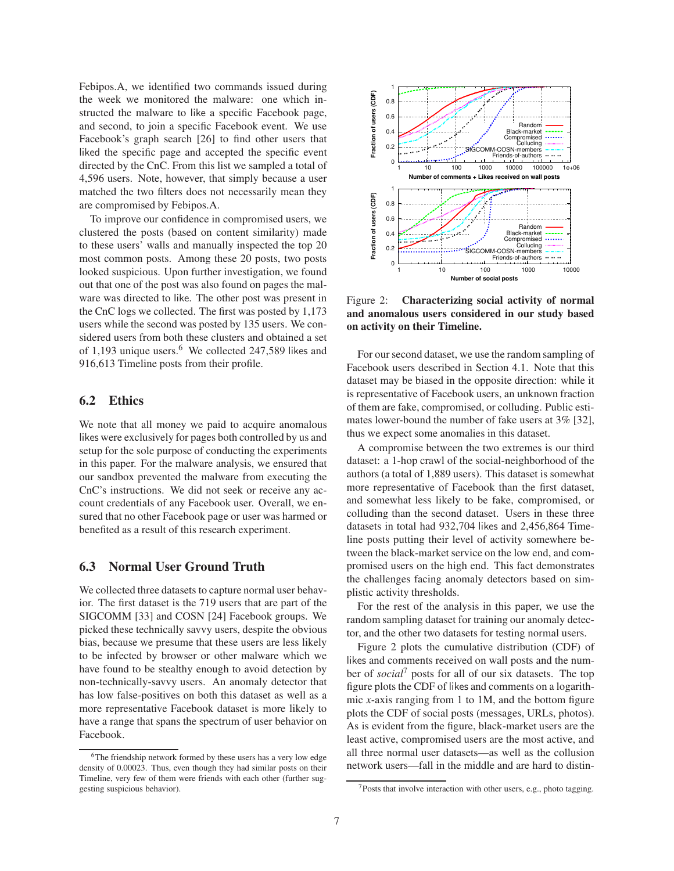Febipos.A, we identified two commands issued during the week we monitored the malware: one which instructed the malware to like a specific Facebook page, and second, to join a specific Facebook event. We use Facebook's graph search [26] to find other users that liked the specific page and accepted the specific event directed by the CnC. From this list we sampled a total of 4,596 users. Note, however, that simply because a user matched the two filters does not necessarily mean they are compromised by Febipos.A.

To improve our confidence in compromised users, we clustered the posts (based on content similarity) made to these users' walls and manually inspected the top 20 most common posts. Among these 20 posts, two posts looked suspicious. Upon further investigation, we found out that one of the post was also found on pages the malware was directed to like. The other post was present in the CnC logs we collected. The first was posted by 1,173 users while the second was posted by 135 users. We considered users from both these clusters and obtained a set of 1,193 unique users.<sup>6</sup> We collected 247,589 likes and 916,613 Timeline posts from their profile.

# 6.2 Ethics

We note that all money we paid to acquire anomalous likes were exclusively for pages both controlled by us and setup for the sole purpose of conducting the experiments in this paper. For the malware analysis, we ensured that our sandbox prevented the malware from executing the CnC's instructions. We did not seek or receive any account credentials of any Facebook user. Overall, we ensured that no other Facebook page or user was harmed or benefited as a result of this research experiment.

### 6.3 Normal User Ground Truth

We collected three datasets to capture normal user behavior. The first dataset is the 719 users that are part of the SIGCOMM [33] and COSN [24] Facebook groups. We picked these technically savvy users, despite the obvious bias, because we presume that these users are less likely to be infected by browser or other malware which we have found to be stealthy enough to avoid detection by non-technically-savvy users. An anomaly detector that has low false-positives on both this dataset as well as a more representative Facebook dataset is more likely to have a range that spans the spectrum of user behavior on Facebook.



Figure 2: Characterizing social activity of normal and anomalous users considered in our study based on activity on their Timeline.

For our second dataset, we use the random sampling of Facebook users described in Section 4.1. Note that this dataset may be biased in the opposite direction: while it is representative of Facebook users, an unknown fraction of them are fake, compromised, or colluding. Public estimates lower-bound the number of fake users at 3% [32], thus we expect some anomalies in this dataset.

A compromise between the two extremes is our third dataset: a 1-hop crawl of the social-neighborhood of the authors (a total of 1,889 users). This dataset is somewhat more representative of Facebook than the first dataset, and somewhat less likely to be fake, compromised, or colluding than the second dataset. Users in these three datasets in total had 932,704 likes and 2,456,864 Timeline posts putting their level of activity somewhere between the black-market service on the low end, and compromised users on the high end. This fact demonstrates the challenges facing anomaly detectors based on simplistic activity thresholds.

For the rest of the analysis in this paper, we use the random sampling dataset for training our anomaly detector, and the other two datasets for testing normal users.

Figure 2 plots the cumulative distribution (CDF) of likes and comments received on wall posts and the number of *social*<sup>7</sup> posts for all of our six datasets. The top figure plots the CDF of likes and comments on a logarithmic *x*-axis ranging from 1 to 1M, and the bottom figure plots the CDF of social posts (messages, URLs, photos). As is evident from the figure, black-market users are the least active, compromised users are the most active, and all three normal user datasets—as well as the collusion network users—fall in the middle and are hard to distin-

<sup>6</sup>The friendship network formed by these users has a very low edge density of 0.00023. Thus, even though they had similar posts on their Timeline, very few of them were friends with each other (further suggesting suspicious behavior).

 $7$ Posts that involve interaction with other users, e.g., photo tagging.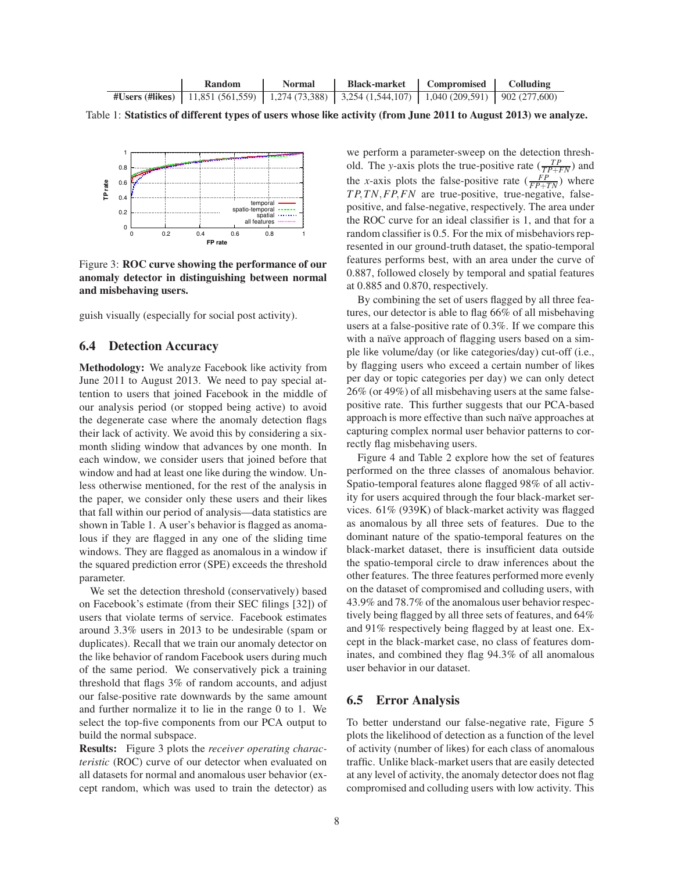

Table 1: Statistics of different types of users whose like activity (from June 2011 to August 2013) we analyze.



Figure 3: ROC curve showing the performance of our anomaly detector in distinguishing between normal and misbehaving users.

guish visually (especially for social post activity).

### 6.4 Detection Accuracy

Methodology: We analyze Facebook like activity from June 2011 to August 2013. We need to pay special attention to users that joined Facebook in the middle of our analysis period (or stopped being active) to avoid the degenerate case where the anomaly detection flags their lack of activity. We avoid this by considering a sixmonth sliding window that advances by one month. In each window, we consider users that joined before that window and had at least one like during the window. Unless otherwise mentioned, for the rest of the analysis in the paper, we consider only these users and their likes that fall within our period of analysis—data statistics are shown in Table 1. A user's behavior is flagged as anomalous if they are flagged in any one of the sliding time windows. They are flagged as anomalous in a window if the squared prediction error (SPE) exceeds the threshold parameter.

We set the detection threshold (conservatively) based on Facebook's estimate (from their SEC filings [32]) of users that violate terms of service. Facebook estimates around 3.3% users in 2013 to be undesirable (spam or duplicates). Recall that we train our anomaly detector on the like behavior of random Facebook users during much of the same period. We conservatively pick a training threshold that flags 3% of random accounts, and adjust our false-positive rate downwards by the same amount and further normalize it to lie in the range 0 to 1. We select the top-five components from our PCA output to build the normal subspace.

Results: Figure 3 plots the *receiver operating characteristic* (ROC) curve of our detector when evaluated on all datasets for normal and anomalous user behavior (except random, which was used to train the detector) as we perform a parameter-sweep on the detection threshold. The *y*-axis plots the true-positive rate  $(\frac{TP}{TP+FN})$  and the *x*-axis plots the false-positive rate  $\left(\frac{FP}{FP+TN}\right)$  where *T P*,*TN*,*FP*,*FN* are true-positive, true-negative, falsepositive, and false-negative, respectively. The area under the ROC curve for an ideal classifier is 1, and that for a random classifier is 0.5. For the mix of misbehaviors represented in our ground-truth dataset, the spatio-temporal features performs best, with an area under the curve of 0.887, followed closely by temporal and spatial features at 0.885 and 0.870, respectively.

By combining the set of users flagged by all three features, our detector is able to flag 66% of all misbehaving users at a false-positive rate of 0.3%. If we compare this with a naïve approach of flagging users based on a simple like volume/day (or like categories/day) cut-off (i.e., by flagging users who exceed a certain number of likes per day or topic categories per day) we can only detect 26% (or 49%) of all misbehaving users at the same falsepositive rate. This further suggests that our PCA-based approach is more effective than such naïve approaches at capturing complex normal user behavior patterns to correctly flag misbehaving users.

Figure 4 and Table 2 explore how the set of features performed on the three classes of anomalous behavior. Spatio-temporal features alone flagged 98% of all activity for users acquired through the four black-market services. 61% (939K) of black-market activity was flagged as anomalous by all three sets of features. Due to the dominant nature of the spatio-temporal features on the black-market dataset, there is insufficient data outside the spatio-temporal circle to draw inferences about the other features. The three features performed more evenly on the dataset of compromised and colluding users, with 43.9% and 78.7% of the anomalous user behavior respectively being flagged by all three sets of features, and 64% and 91% respectively being flagged by at least one. Except in the black-market case, no class of features dominates, and combined they flag 94.3% of all anomalous user behavior in our dataset.

#### 6.5 Error Analysis

To better understand our false-negative rate, Figure 5 plots the likelihood of detection as a function of the level of activity (number of likes) for each class of anomalous traffic. Unlike black-market users that are easily detected at any level of activity, the anomaly detector does not flag compromised and colluding users with low activity. This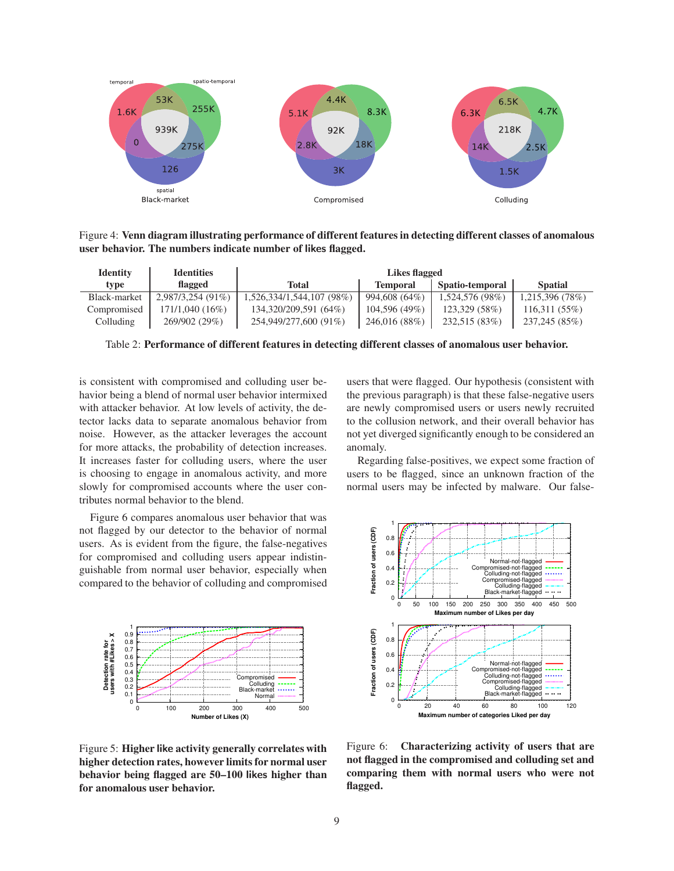

Figure 4: Venn diagram illustrating performance of different features in detecting different classes of anomalous user behavior. The numbers indicate number of likes flagged.

| <b>Identity</b> | <b>Identities</b>   | Likes flagged             |                 |                 |                 |
|-----------------|---------------------|---------------------------|-----------------|-----------------|-----------------|
| type            | <b>flagged</b>      | Total                     | <b>Temporal</b> | Spatio-temporal | <b>Spatial</b>  |
| Black-market    | $2.987/3.254(91\%)$ | 1,526,334/1,544,107 (98%) | 994,608 (64%)   | 1,524,576 (98%) | 1,215,396 (78%) |
| Compromised     | 171/1,040(16%)      | 134,320/209,591 (64%)     | 104,596 (49%)   | 123,329 (58%)   | 116,311(55%)    |
| Colluding       | 269/902 (29%)       | 254,949/277,600 (91%)     | 246,016 (88%)   | 232,515 (83%)   | 237,245 (85%)   |

Table 2: Performance of different features in detecting different classes of anomalous user behavior.

is consistent with compromised and colluding user behavior being a blend of normal user behavior intermixed with attacker behavior. At low levels of activity, the detector lacks data to separate anomalous behavior from noise. However, as the attacker leverages the account for more attacks, the probability of detection increases. It increases faster for colluding users, where the user is choosing to engage in anomalous activity, and more slowly for compromised accounts where the user contributes normal behavior to the blend.

Figure 6 compares anomalous user behavior that was not flagged by our detector to the behavior of normal users. As is evident from the figure, the false-negatives for compromised and colluding users appear indistinguishable from normal user behavior, especially when compared to the behavior of colluding and compromised



Figure 5: Higher like activity generally correlates with higher detection rates, however limits for normal user behavior being flagged are 50–100 likes higher than for anomalous user behavior.

users that were flagged. Our hypothesis (consistent with the previous paragraph) is that these false-negative users are newly compromised users or users newly recruited to the collusion network, and their overall behavior has not yet diverged significantly enough to be considered an anomaly.

Regarding false-positives, we expect some fraction of users to be flagged, since an unknown fraction of the normal users may be infected by malware. Our false-



Figure 6: Characterizing activity of users that are not flagged in the compromised and colluding set and comparing them with normal users who were not flagged.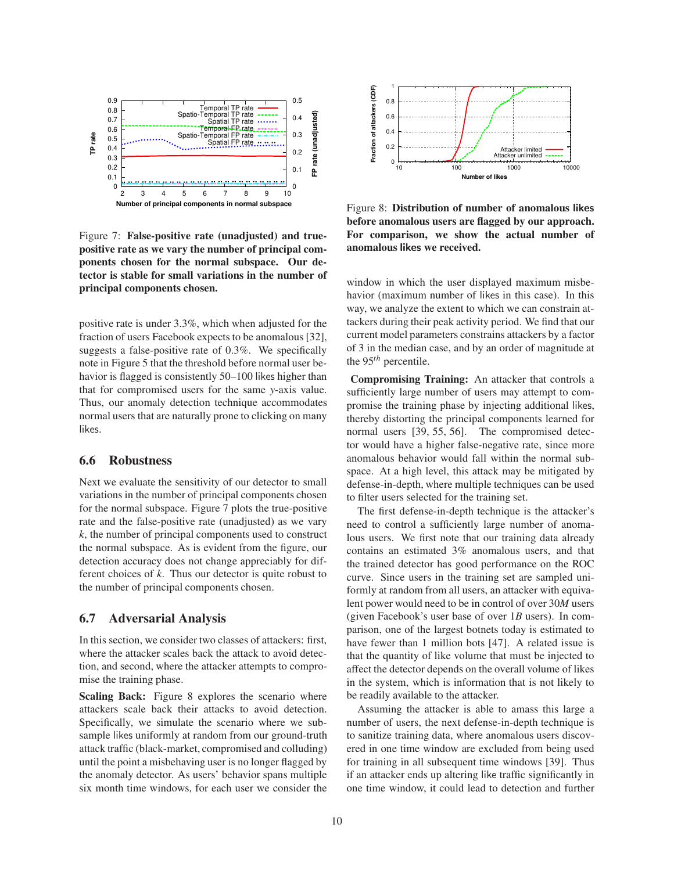

Figure 7: False-positive rate (unadjusted) and truepositive rate as we vary the number of principal components chosen for the normal subspace. Our detector is stable for small variations in the number of principal components chosen.

positive rate is under 3.3%, which when adjusted for the fraction of users Facebook expects to be anomalous [32], suggests a false-positive rate of 0.3%. We specifically note in Figure 5 that the threshold before normal user behavior is flagged is consistently 50–100 likes higher than that for compromised users for the same *y*-axis value. Thus, our anomaly detection technique accommodates normal users that are naturally prone to clicking on many likes.

# 6.6 Robustness

Next we evaluate the sensitivity of our detector to small variations in the number of principal components chosen for the normal subspace. Figure 7 plots the true-positive rate and the false-positive rate (unadjusted) as we vary *k*, the number of principal components used to construct the normal subspace. As is evident from the figure, our detection accuracy does not change appreciably for different choices of *k*. Thus our detector is quite robust to the number of principal components chosen.

#### 6.7 Adversarial Analysis

In this section, we consider two classes of attackers: first, where the attacker scales back the attack to avoid detection, and second, where the attacker attempts to compromise the training phase.

Scaling Back: Figure 8 explores the scenario where attackers scale back their attacks to avoid detection. Specifically, we simulate the scenario where we subsample likes uniformly at random from our ground-truth attack traffic (black-market, compromised and colluding) until the point a misbehaving user is no longer flagged by the anomaly detector. As users' behavior spans multiple six month time windows, for each user we consider the



Figure 8: Distribution of number of anomalous likes before anomalous users are flagged by our approach. For comparison, we show the actual number of anomalous likes we received.

window in which the user displayed maximum misbehavior (maximum number of likes in this case). In this way, we analyze the extent to which we can constrain attackers during their peak activity period. We find that our current model parameters constrains attackers by a factor of 3 in the median case, and by an order of magnitude at the 95*th* percentile.

Compromising Training: An attacker that controls a sufficiently large number of users may attempt to compromise the training phase by injecting additional likes, thereby distorting the principal components learned for normal users [39, 55, 56]. The compromised detector would have a higher false-negative rate, since more anomalous behavior would fall within the normal subspace. At a high level, this attack may be mitigated by defense-in-depth, where multiple techniques can be used to filter users selected for the training set.

The first defense-in-depth technique is the attacker's need to control a sufficiently large number of anomalous users. We first note that our training data already contains an estimated 3% anomalous users, and that the trained detector has good performance on the ROC curve. Since users in the training set are sampled uniformly at random from all users, an attacker with equivalent power would need to be in control of over 30*M* users (given Facebook's user base of over 1*B* users). In comparison, one of the largest botnets today is estimated to have fewer than 1 million bots [47]. A related issue is that the quantity of like volume that must be injected to affect the detector depends on the overall volume of likes in the system, which is information that is not likely to be readily available to the attacker.

Assuming the attacker is able to amass this large a number of users, the next defense-in-depth technique is to sanitize training data, where anomalous users discovered in one time window are excluded from being used for training in all subsequent time windows [39]. Thus if an attacker ends up altering like traffic significantly in one time window, it could lead to detection and further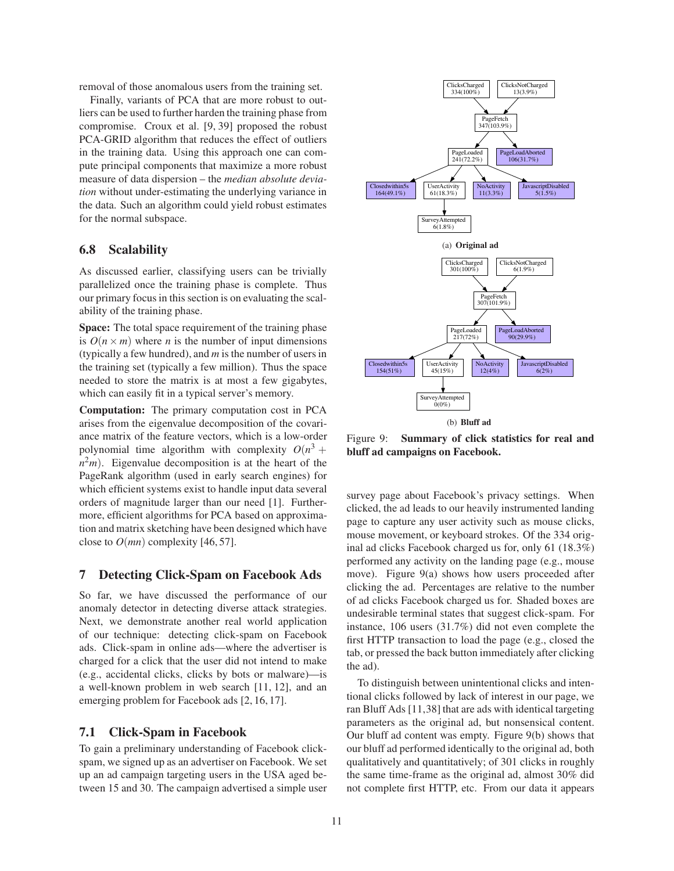removal of those anomalous users from the training set.

Finally, variants of PCA that are more robust to outliers can be used to further harden the training phase from compromise. Croux et al. [9, 39] proposed the robust PCA-GRID algorithm that reduces the effect of outliers in the training data. Using this approach one can compute principal components that maximize a more robust measure of data dispersion – the *median absolute deviation* without under-estimating the underlying variance in the data. Such an algorithm could yield robust estimates for the normal subspace.

# 6.8 Scalability

As discussed earlier, classifying users can be trivially parallelized once the training phase is complete. Thus our primary focus in this section is on evaluating the scalability of the training phase.

Space: The total space requirement of the training phase is  $O(n \times m)$  where *n* is the number of input dimensions (typically a few hundred), and *m* is the number of users in the training set (typically a few million). Thus the space needed to store the matrix is at most a few gigabytes, which can easily fit in a typical server's memory.

Computation: The primary computation cost in PCA arises from the eigenvalue decomposition of the covariance matrix of the feature vectors, which is a low-order polynomial time algorithm with complexity  $O(n^3 +$  $n<sup>2</sup>m$ ). Eigenvalue decomposition is at the heart of the PageRank algorithm (used in early search engines) for which efficient systems exist to handle input data several orders of magnitude larger than our need [1]. Furthermore, efficient algorithms for PCA based on approximation and matrix sketching have been designed which have close to  $O(mn)$  complexity [46, 57].

#### 7 Detecting Click-Spam on Facebook Ads

So far, we have discussed the performance of our anomaly detector in detecting diverse attack strategies. Next, we demonstrate another real world application of our technique: detecting click-spam on Facebook ads. Click-spam in online ads—where the advertiser is charged for a click that the user did not intend to make (e.g., accidental clicks, clicks by bots or malware)—is a well-known problem in web search [11, 12], and an emerging problem for Facebook ads [2, 16, 17].

### 7.1 Click-Spam in Facebook

To gain a preliminary understanding of Facebook clickspam, we signed up as an advertiser on Facebook. We set up an ad campaign targeting users in the USA aged between 15 and 30. The campaign advertised a simple user



Figure 9: Summary of click statistics for real and bluff ad campaigns on Facebook.

survey page about Facebook's privacy settings. When clicked, the ad leads to our heavily instrumented landing page to capture any user activity such as mouse clicks, mouse movement, or keyboard strokes. Of the 334 original ad clicks Facebook charged us for, only 61 (18.3%) performed any activity on the landing page (e.g., mouse move). Figure 9(a) shows how users proceeded after clicking the ad. Percentages are relative to the number of ad clicks Facebook charged us for. Shaded boxes are undesirable terminal states that suggest click-spam. For instance, 106 users (31.7%) did not even complete the first HTTP transaction to load the page (e.g., closed the tab, or pressed the back button immediately after clicking the ad).

To distinguish between unintentional clicks and intentional clicks followed by lack of interest in our page, we ran Bluff Ads [11,38] that are ads with identical targeting parameters as the original ad, but nonsensical content. Our bluff ad content was empty. Figure 9(b) shows that our bluff ad performed identically to the original ad, both qualitatively and quantitatively; of 301 clicks in roughly the same time-frame as the original ad, almost 30% did not complete first HTTP, etc. From our data it appears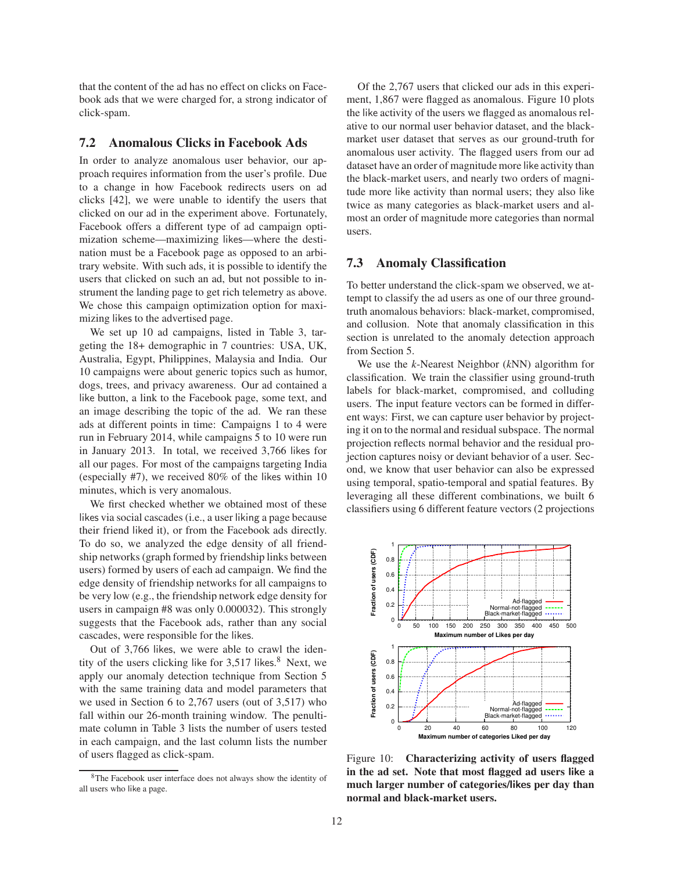that the content of the ad has no effect on clicks on Facebook ads that we were charged for, a strong indicator of click-spam.

#### 7.2 Anomalous Clicks in Facebook Ads

In order to analyze anomalous user behavior, our approach requires information from the user's profile. Due to a change in how Facebook redirects users on ad clicks [42], we were unable to identify the users that clicked on our ad in the experiment above. Fortunately, Facebook offers a different type of ad campaign optimization scheme—maximizing likes—where the destination must be a Facebook page as opposed to an arbitrary website. With such ads, it is possible to identify the users that clicked on such an ad, but not possible to instrument the landing page to get rich telemetry as above. We chose this campaign optimization option for maximizing likes to the advertised page.

We set up 10 ad campaigns, listed in Table 3, targeting the 18+ demographic in 7 countries: USA, UK, Australia, Egypt, Philippines, Malaysia and India. Our 10 campaigns were about generic topics such as humor, dogs, trees, and privacy awareness. Our ad contained a like button, a link to the Facebook page, some text, and an image describing the topic of the ad. We ran these ads at different points in time: Campaigns 1 to 4 were run in February 2014, while campaigns 5 to 10 were run in January 2013. In total, we received 3,766 likes for all our pages. For most of the campaigns targeting India (especially #7), we received 80% of the likes within 10 minutes, which is very anomalous.

We first checked whether we obtained most of these likes via social cascades (i.e., a user liking a page because their friend liked it), or from the Facebook ads directly. To do so, we analyzed the edge density of all friendship networks (graph formed by friendship links between users) formed by users of each ad campaign. We find the edge density of friendship networks for all campaigns to be very low (e.g., the friendship network edge density for users in campaign #8 was only 0.000032). This strongly suggests that the Facebook ads, rather than any social cascades, were responsible for the likes.

Out of 3,766 likes, we were able to crawl the identity of the users clicking like for 3,517 likes. <sup>8</sup> Next, we apply our anomaly detection technique from Section 5 with the same training data and model parameters that we used in Section 6 to 2,767 users (out of 3,517) who fall within our 26-month training window. The penultimate column in Table 3 lists the number of users tested in each campaign, and the last column lists the number of users flagged as click-spam.

Of the 2,767 users that clicked our ads in this experiment, 1,867 were flagged as anomalous. Figure 10 plots the like activity of the users we flagged as anomalous relative to our normal user behavior dataset, and the blackmarket user dataset that serves as our ground-truth for anomalous user activity. The flagged users from our ad dataset have an order of magnitude more like activity than the black-market users, and nearly two orders of magnitude more like activity than normal users; they also like twice as many categories as black-market users and almost an order of magnitude more categories than normal users.

### 7.3 Anomaly Classification

To better understand the click-spam we observed, we attempt to classify the ad users as one of our three groundtruth anomalous behaviors: black-market, compromised, and collusion. Note that anomaly classification in this section is unrelated to the anomaly detection approach from Section 5.

We use the *k*-Nearest Neighbor (*k*NN) algorithm for classification. We train the classifier using ground-truth labels for black-market, compromised, and colluding users. The input feature vectors can be formed in different ways: First, we can capture user behavior by projecting it on to the normal and residual subspace. The normal projection reflects normal behavior and the residual projection captures noisy or deviant behavior of a user. Second, we know that user behavior can also be expressed using temporal, spatio-temporal and spatial features. By leveraging all these different combinations, we built 6 classifiers using 6 different feature vectors (2 projections



Figure 10: **Characterizing activity of users flagged** in the ad set. Note that most flagged ad users like a much larger number of categories/likes per day than normal and black-market users.

<sup>8</sup>The Facebook user interface does not always show the identity of all users who like a page.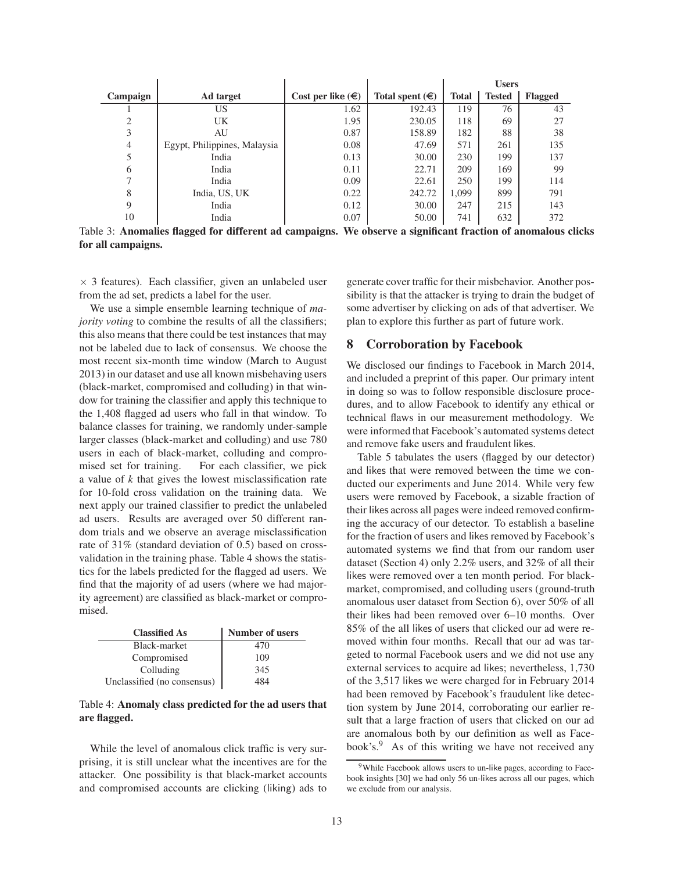|          |                              |                            |                          | <b>Users</b> |               |         |
|----------|------------------------------|----------------------------|--------------------------|--------------|---------------|---------|
| Campaign | Ad target                    | Cost per like $(\epsilon)$ | Total spent $(\epsilon)$ | <b>Total</b> | <b>Tested</b> | Flagged |
|          | US                           | 1.62                       | 192.43                   | 119          | 76            | 43      |
| 2        | UK.                          | 1.95                       | 230.05                   | 118          | 69            | 27      |
| 3        | AU                           | 0.87                       | 158.89                   | 182          | 88            | 38      |
| 4        | Egypt, Philippines, Malaysia | 0.08                       | 47.69                    | 571          | 261           | 135     |
| 5        | India                        | 0.13                       | 30.00                    | 230          | 199           | 137     |
| 6        | India                        | 0.11                       | 22.71                    | 209          | 169           | 99      |
| 7        | India                        | 0.09                       | 22.61                    | 250          | 199           | 114     |
| 8        | India, US, UK                | 0.22                       | 242.72                   | 1,099        | 899           | 791     |
| 9        | India                        | 0.12                       | 30.00                    | 247          | 215           | 143     |
| 10       | India                        | 0.07                       | 50.00                    | 741          | 632           | 372     |

Table 3: Anomalies flagged for different ad campaigns. We observe a significant fraction of anomalous clicks for all campaigns.

 $\times$  3 features). Each classifier, given an unlabeled user from the ad set, predicts a label for the user.

We use a simple ensemble learning technique of *majority voting* to combine the results of all the classifiers; this also means that there could be test instances that may not be labeled due to lack of consensus. We choose the most recent six-month time window (March to August 2013) in our dataset and use all known misbehaving users (black-market, compromised and colluding) in that window for training the classifier and apply this technique to the 1,408 flagged ad users who fall in that window. To balance classes for training, we randomly under-sample larger classes (black-market and colluding) and use 780 users in each of black-market, colluding and compromised set for training. For each classifier, we pick a value of *k* that gives the lowest misclassification rate for 10-fold cross validation on the training data. We next apply our trained classifier to predict the unlabeled ad users. Results are averaged over 50 different random trials and we observe an average misclassification rate of 31% (standard deviation of 0.5) based on crossvalidation in the training phase. Table 4 shows the statistics for the labels predicted for the flagged ad users. We find that the majority of ad users (where we had majority agreement) are classified as black-market or compromised.

| <b>Classified As</b>        | <b>Number of users</b> |
|-----------------------------|------------------------|
| Black-market                | 470                    |
| Compromised                 | 109                    |
| Colluding                   | 345                    |
| Unclassified (no consensus) | 484                    |

#### Table 4: Anomaly class predicted for the ad users that are flagged.

While the level of anomalous click traffic is very surprising, it is still unclear what the incentives are for the attacker. One possibility is that black-market accounts and compromised accounts are clicking (liking) ads to generate cover traffic for their misbehavior. Another possibility is that the attacker is trying to drain the budget of some advertiser by clicking on ads of that advertiser. We plan to explore this further as part of future work.

#### 8 Corroboration by Facebook

We disclosed our findings to Facebook in March 2014, and included a preprint of this paper. Our primary intent in doing so was to follow responsible disclosure procedures, and to allow Facebook to identify any ethical or technical flaws in our measurement methodology. We were informed that Facebook's automated systems detect and remove fake users and fraudulent likes.

Table 5 tabulates the users (flagged by our detector) and likes that were removed between the time we conducted our experiments and June 2014. While very few users were removed by Facebook, a sizable fraction of their likes across all pages were indeed removed confirming the accuracy of our detector. To establish a baseline for the fraction of users and likes removed by Facebook's automated systems we find that from our random user dataset (Section 4) only 2.2% users, and 32% of all their likes were removed over a ten month period. For blackmarket, compromised, and colluding users (ground-truth anomalous user dataset from Section 6), over 50% of all their likes had been removed over 6–10 months. Over 85% of the all likes of users that clicked our ad were removed within four months. Recall that our ad was targeted to normal Facebook users and we did not use any external services to acquire ad likes; nevertheless, 1,730 of the 3,517 likes we were charged for in February 2014 had been removed by Facebook's fraudulent like detection system by June 2014, corroborating our earlier result that a large fraction of users that clicked on our ad are anomalous both by our definition as well as Facebook's.<sup>9</sup> As of this writing we have not received any

<sup>&</sup>lt;sup>9</sup>While Facebook allows users to un-like pages, according to Facebook insights [30] we had only 56 un-likes across all our pages, which we exclude from our analysis.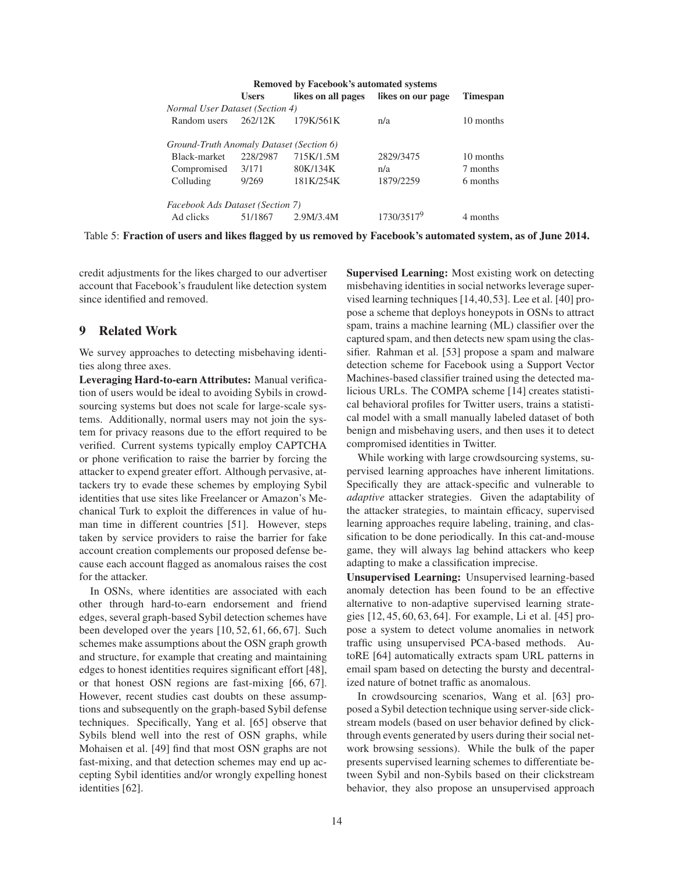| <b>Removed by Facebook's automated systems</b> |              |                    |                   |                 |  |
|------------------------------------------------|--------------|--------------------|-------------------|-----------------|--|
|                                                | <b>Users</b> | likes on all pages | likes on our page | <b>Timespan</b> |  |
| Normal User Dataset (Section 4)                |              |                    |                   |                 |  |
| Random users                                   | 262/12K      | 179K/561K          | n/a               | 10 months       |  |
|                                                |              |                    |                   |                 |  |
| Ground-Truth Anomaly Dataset (Section 6)       |              |                    |                   |                 |  |
| Black-market                                   | 228/2987     | 715K/1.5M          | 2829/3475         | 10 months       |  |
| Compromised                                    | 3/171        | 80K/134K           | n/a               | 7 months        |  |
| Colluding                                      | 9/269        | 181K/254K          | 1879/2259         | 6 months        |  |
|                                                |              |                    |                   |                 |  |
| Facebook Ads Dataset (Section 7)               |              |                    |                   |                 |  |
| Ad clicks                                      | 51/1867      | 2.9M/3.4M          | 1730/35179        | 4 months        |  |

Table 5: Fraction of users and likes flagged by us removed by Facebook's automated system, as of June 2014.

credit adjustments for the likes charged to our advertiser account that Facebook's fraudulent like detection system since identified and removed.

# 9 Related Work

We survey approaches to detecting misbehaving identities along three axes.

Leveraging Hard-to-earn Attributes: Manual verification of users would be ideal to avoiding Sybils in crowdsourcing systems but does not scale for large-scale systems. Additionally, normal users may not join the system for privacy reasons due to the effort required to be verified. Current systems typically employ CAPTCHA or phone verification to raise the barrier by forcing the attacker to expend greater effort. Although pervasive, attackers try to evade these schemes by employing Sybil identities that use sites like Freelancer or Amazon's Mechanical Turk to exploit the differences in value of human time in different countries [51]. However, steps taken by service providers to raise the barrier for fake account creation complements our proposed defense because each account flagged as anomalous raises the cost for the attacker.

In OSNs, where identities are associated with each other through hard-to-earn endorsement and friend edges, several graph-based Sybil detection schemes have been developed over the years [10, 52, 61, 66, 67]. Such schemes make assumptions about the OSN graph growth and structure, for example that creating and maintaining edges to honest identities requires significant effort [48], or that honest OSN regions are fast-mixing [66, 67]. However, recent studies cast doubts on these assumptions and subsequently on the graph-based Sybil defense techniques. Specifically, Yang et al. [65] observe that Sybils blend well into the rest of OSN graphs, while Mohaisen et al. [49] find that most OSN graphs are not fast-mixing, and that detection schemes may end up accepting Sybil identities and/or wrongly expelling honest identities [62].

Supervised Learning: Most existing work on detecting misbehaving identities in social networks leverage supervised learning techniques [14,40,53]. Lee et al. [40] propose a scheme that deploys honeypots in OSNs to attract spam, trains a machine learning (ML) classifier over the captured spam, and then detects new spam using the classifier. Rahman et al. [53] propose a spam and malware detection scheme for Facebook using a Support Vector Machines-based classifier trained using the detected malicious URLs. The COMPA scheme [14] creates statistical behavioral profiles for Twitter users, trains a statistical model with a small manually labeled dataset of both benign and misbehaving users, and then uses it to detect compromised identities in Twitter.

While working with large crowdsourcing systems, supervised learning approaches have inherent limitations. Specifically they are attack-specific and vulnerable to *adaptive* attacker strategies. Given the adaptability of the attacker strategies, to maintain efficacy, supervised learning approaches require labeling, training, and classification to be done periodically. In this cat-and-mouse game, they will always lag behind attackers who keep adapting to make a classification imprecise.

Unsupervised Learning: Unsupervised learning-based anomaly detection has been found to be an effective alternative to non-adaptive supervised learning strategies [12, 45, 60, 63, 64]. For example, Li et al. [45] propose a system to detect volume anomalies in network traffic using unsupervised PCA-based methods. AutoRE [64] automatically extracts spam URL patterns in email spam based on detecting the bursty and decentralized nature of botnet traffic as anomalous.

In crowdsourcing scenarios, Wang et al. [63] proposed a Sybil detection technique using server-side clickstream models (based on user behavior defined by clickthrough events generated by users during their social network browsing sessions). While the bulk of the paper presents supervised learning schemes to differentiate between Sybil and non-Sybils based on their clickstream behavior, they also propose an unsupervised approach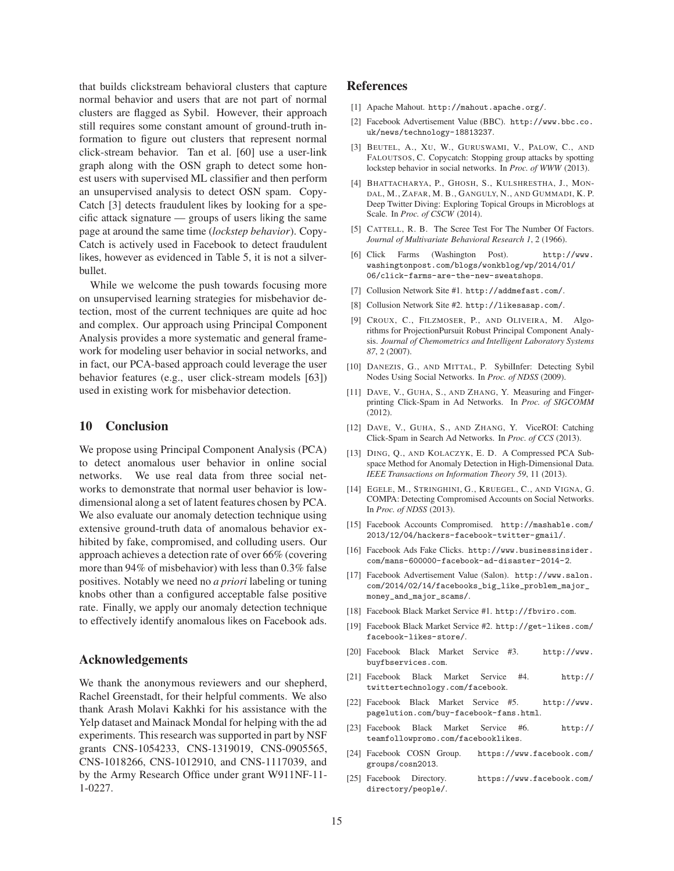that builds clickstream behavioral clusters that capture normal behavior and users that are not part of normal clusters are flagged as Sybil. However, their approach still requires some constant amount of ground-truth information to figure out clusters that represent normal click-stream behavior. Tan et al. [60] use a user-link graph along with the OSN graph to detect some honest users with supervised ML classifier and then perform an unsupervised analysis to detect OSN spam. Copy-Catch [3] detects fraudulent likes by looking for a specific attack signature — groups of users liking the same page at around the same time (*lockstep behavior*). Copy-Catch is actively used in Facebook to detect fraudulent likes, however as evidenced in Table 5, it is not a silverbullet.

While we welcome the push towards focusing more on unsupervised learning strategies for misbehavior detection, most of the current techniques are quite ad hoc and complex. Our approach using Principal Component Analysis provides a more systematic and general framework for modeling user behavior in social networks, and in fact, our PCA-based approach could leverage the user behavior features (e.g., user click-stream models [63]) used in existing work for misbehavior detection.

#### 10 Conclusion

We propose using Principal Component Analysis (PCA) to detect anomalous user behavior in online social networks. We use real data from three social networks to demonstrate that normal user behavior is lowdimensional along a set of latent features chosen by PCA. We also evaluate our anomaly detection technique using extensive ground-truth data of anomalous behavior exhibited by fake, compromised, and colluding users. Our approach achieves a detection rate of over 66% (covering more than 94% of misbehavior) with less than 0.3% false positives. Notably we need no *a priori* labeling or tuning knobs other than a configured acceptable false positive rate. Finally, we apply our anomaly detection technique to effectively identify anomalous likes on Facebook ads.

#### Acknowledgements

We thank the anonymous reviewers and our shepherd, Rachel Greenstadt, for their helpful comments. We also thank Arash Molavi Kakhki for his assistance with the Yelp dataset and Mainack Mondal for helping with the ad experiments. This research was supported in part by NSF grants CNS-1054233, CNS-1319019, CNS-0905565, CNS-1018266, CNS-1012910, and CNS-1117039, and by the Army Research Office under grant W911NF-11- 1-0227.

## References

- [1] Apache Mahout. http://mahout.apache.org/.
- [2] Facebook Advertisement Value (BBC). http://www.bbc.co. uk/news/technology-18813237.
- [3] BEUTEL, A., XU, W., GURUSWAMI, V., PALOW, C., AND FALOUTSOS, C. Copycatch: Stopping group attacks by spotting lockstep behavior in social networks. In *Proc. of WWW* (2013).
- [4] BHATTACHARYA, P., GHOSH, S., KULSHRESTHA, J., MON-DAL, M., ZAFAR, M. B., GANGULY, N., AND GUMMADI, K. P. Deep Twitter Diving: Exploring Topical Groups in Microblogs at Scale. In *Proc. of CSCW* (2014).
- [5] CATTELL, R. B. The Scree Test For The Number Of Factors. *Journal of Multivariate Behavioral Research 1*, 2 (1966).
- [6] Click Farms (Washington Post). http://www. washingtonpost.com/blogs/wonkblog/wp/2014/01/ 06/click-farms-are-the-new-sweatshops.
- [7] Collusion Network Site #1. http://addmefast.com/.
- [8] Collusion Network Site #2. http://likesasap.com/.
- [9] CROUX, C., FILZMOSER, P., AND OLIVEIRA, M. Algorithms for ProjectionPursuit Robust Principal Component Analysis. *Journal of Chemometrics and Intelligent Laboratory Systems 87*, 2 (2007).
- [10] DANEZIS, G., AND MITTAL, P. SybilInfer: Detecting Sybil Nodes Using Social Networks. In *Proc. of NDSS* (2009).
- [11] DAVE, V., GUHA, S., AND ZHANG, Y. Measuring and Fingerprinting Click-Spam in Ad Networks. In *Proc. of SIGCOMM* (2012).
- [12] DAVE, V., GUHA, S., AND ZHANG, Y. ViceROI: Catching Click-Spam in Search Ad Networks. In *Proc. of CCS* (2013).
- [13] DING, Q., AND KOLACZYK, E. D. A Compressed PCA Subspace Method for Anomaly Detection in High-Dimensional Data. *IEEE Transactions on Information Theory 59*, 11 (2013).
- [14] EGELE, M., STRINGHINI, G., KRUEGEL, C., AND VIGNA, G. COMPA: Detecting Compromised Accounts on Social Networks. In *Proc. of NDSS* (2013).
- [15] Facebook Accounts Compromised. http://mashable.com/ 2013/12/04/hackers-facebook-twitter-gmail/.
- [16] Facebook Ads Fake Clicks. http://www.businessinsider. com/mans-600000-facebook-ad-disaster-2014-2.
- [17] Facebook Advertisement Value (Salon). http://www.salon. com/2014/02/14/facebooks\_big\_like\_problem\_major\_ money\_and\_major\_scams/.
- [18] Facebook Black Market Service #1. http://fbviro.com.
- [19] Facebook Black Market Service #2. http://get-likes.com/ facebook-likes-store/.
- [20] Facebook Black Market Service #3. http://www. buyfbservices.com.
- [21] Facebook Black Market Service #4. http:// twittertechnology.com/facebook.
- [22] Facebook Black Market Service #5. http://www. pagelution.com/buy-facebook-fans.html.
- [23] Facebook Black Market Service #6. http:// teamfollowpromo.com/facebooklikes.
- [24] Facebook COSN Group. https://www.facebook.com/ groups/cosn2013.
- [25] Facebook Directory. https://www.facebook.com/ directory/people/.